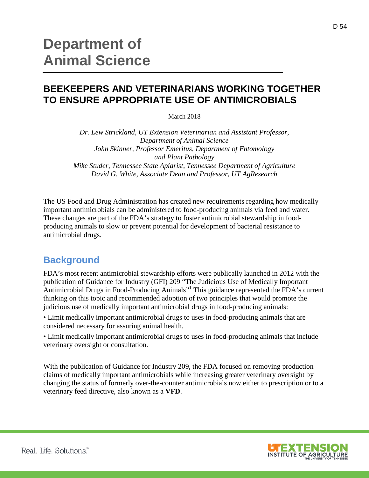## **BEEKEEPERS AND VETERINARIANS WORKING TOGETHER TO ENSURE APPROPRIATE USE OF ANTIMICROBIALS**

March 2018

*Dr. Lew Strickland, UT Extension Veterinarian and Assistant Professor, Department of Animal Science John Skinner, Professor Emeritus, Department of Entomology and Plant Pathology Mike Studer, Tennessee State Apiarist, Tennessee Department of Agriculture David G. White, Associate Dean and Professor, UT AgResearch*

The US Food and Drug Administration has created new requirements regarding how medically important antimicrobials can be administered to food-producing animals via feed and water. These changes are part of the FDA's strategy to foster antimicrobial stewardship in foodproducing animals to slow or prevent potential for development of bacterial resistance to antimicrobial drugs.

## **Background**

FDA's most recent antimicrobial stewardship efforts were publically launched in 2012 with the publication of Guidance for Industry (GFI) 209 "The Judicious Use of Medically Important Antimicrobial Drugs in Food-Producing Animals"<sup>1</sup> This guidance represented the FDA's current thinking on this topic and recommended adoption of two principles that would promote the judicious use of medically important antimicrobial drugs in food-producing animals:

• Limit medically important antimicrobial drugs to uses in food-producing animals that are considered necessary for assuring animal health.

• Limit medically important antimicrobial drugs to uses in food-producing animals that include veterinary oversight or consultation.

With the publication of Guidance for Industry 209, the FDA focused on removing production claims of medically important antimicrobials while increasing greater veterinary oversight by changing the status of formerly over-the-counter antimicrobials now either to prescription or to a veterinary feed directive, also known as a **VFD**.



D 54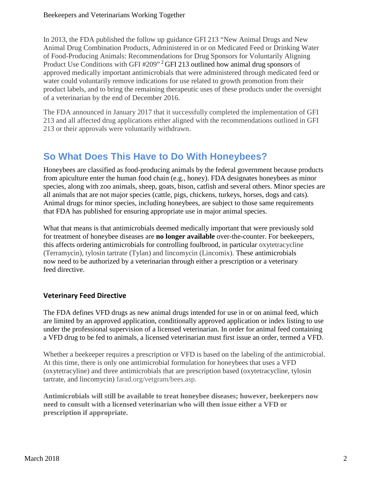In 2013, the FDA published the follow up guidance GFI 213 "New Animal Drugs and New Animal Drug Combination Products, Administered in or on Medicated Feed or Drinking Water of Food-Producing Animals: Recommendations for Drug Sponsors for Voluntarily Aligning Product Use Conditions with GFI #209"<sup>2</sup> GFI 213 outlined how animal drug sponsors of approved medically important antimicrobials that were administered through medicated feed or water could voluntarily remove indications for use related to growth promotion from their product labels, and to bring the remaining therapeutic uses of these products under the oversight of a veterinarian by the end of December 2016.

The FDA announced in January 2017 that it successfully completed the implementation of GFI 213 and all affected drug applications either aligned with the recommendations outlined in GFI 213 or their approvals were voluntarily withdrawn.

# **So What Does This Have to Do With Honeybees?**

Honeybees are classified as food-producing animals by the federal government because products from apiculture enter the human food chain (e.g., honey). FDA designates honeybees as minor species, along with zoo animals, sheep, goats, bison, catfish and several others. Minor species are all animals that are not major species (cattle, pigs, chickens, turkeys, horses, dogs and cats). Animal drugs for minor species, including honeybees, are subject to those same requirements that FDA has published for ensuring appropriate use in major animal species.

What that means is that antimicrobials deemed medically important that were previously sold for treatment of honeybee diseases are **no longer available** over-the-counter. For beekeepers, this affects ordering antimicrobials for controlling foulbrood, in particular oxytetracycline (Terramycin), tylosin tartrate (Tylan) and lincomycin (Lincomix). These antimicrobials now need to be authorized by a veterinarian through either a prescription or a veterinary feed directive.

### **Veterinary Feed Directive**

The FDA defines VFD drugs as new animal drugs intended for use in or on animal feed, which are limited by an approved application, conditionally approved application or index listing to use under the professional supervision of a licensed veterinarian. In order for animal feed containing a VFD drug to be fed to animals, a licensed veterinarian must first issue an order, termed a VFD.

Whether a beekeeper requires a prescription or VFD is based on the labeling of the antimicrobial. At this time, there is only one antimicrobial formulation for honeybees that uses a VFD (oxytetracyline) and three antimicrobials that are prescription based (oxytetracycline, tylosin tartrate, and lincomycin) [farad.org/vetgram/bees.asp.](http://www.farad.org/vetgram/bees.asp)

**Antimicrobials will still be available to treat honeybee diseases; however, beekeepers now need to consult with a licensed veterinarian who will then issue either a VFD or prescription if appropriate.**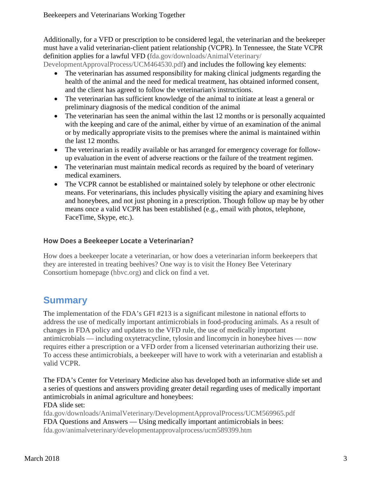Additionally, for a VFD or prescription to be considered legal, the veterinarian and the beekeeper must have a valid veterinarian-client patient relationship (VCPR). In Tennessee, the State VCPR definition applies for a lawful VFD [\(fda.gov/downloads/AnimalVeterinary/](http://www.fda.gov/downloads/AnimalVeterinary/DevelopmentApprovalProcess/UCM464530.pdf)

[DevelopmentApprovalProcess/UCM464530.pdf\)](http://www.fda.gov/downloads/AnimalVeterinary/DevelopmentApprovalProcess/UCM464530.pdf) and includes the following key elements:

- The veterinarian has assumed responsibility for making clinical judgments regarding the health of the animal and the need for medical treatment, has obtained informed consent, and the client has agreed to follow the veterinarian's instructions.
- The veterinarian has sufficient knowledge of the animal to initiate at least a general or preliminary diagnosis of the medical condition of the animal
- The veterinarian has seen the animal within the last 12 months or is personally acquainted with the keeping and care of the animal, either by virtue of an examination of the animal or by medically appropriate visits to the premises where the animal is maintained within the last 12 months.
- The veterinarian is readily available or has arranged for emergency coverage for followup evaluation in the event of adverse reactions or the failure of the treatment regimen.
- The veterinarian must maintain medical records as required by the board of veterinary medical examiners.
- The VCPR cannot be established or maintained solely by telephone or other electronic means. For veterinarians, this includes physically visiting the apiary and examining hives and honeybees, and not just phoning in a prescription. Though follow up may be by other means once a valid VCPR has been established (e.g., email with photos, telephone, FaceTime, Skype, etc.).

### **How Does a Beekeeper Locate a Veterinarian?**

How does a beekeeper locate a veterinarian, or how does a veterinarian inform beekeepers that they are interested in treating beehives? One way is to visit the Honey Bee Veterinary Consortium homepage [\(hbvc.org\)](https://www.hbvc.org/Index.php) and click on find a vet.

# **Summary**

The implementation of the FDA's GFI #213 is a significant milestone in national efforts to address the use of medically important antimicrobials in food-producing animals. As a result of changes in FDA policy and updates to the VFD rule, the use of medically important antimicrobials — including oxytetracycline, tylosin and lincomycin in honeybee hives — now requires either a prescription or a VFD order from a licensed veterinarian authorizing their use. To access these antimicrobials, a beekeeper will have to work with a veterinarian and establish a valid VCPR.

The FDA's Center for Veterinary Medicine also has developed both an informative slide set and a series of questions and answers providing greater detail regarding uses of medically important antimicrobials in animal agriculture and honeybees: FDA slide set:

[fda.gov/downloads/AnimalVeterinary/DevelopmentApprovalProcess/UCM569965.pdf](https://www.fda.gov/downloads/AnimalVeterinary/DevelopmentApprovalProcess/UCM569965.pdf) FDA Questions and Answers — Using medically important antimicrobials in bees: [fda.gov/animalveterinary/developmentapprovalprocess/ucm589399.htm](https://www.fda.gov/animalveterinary/developmentapprovalprocess/ucm589399.htm)